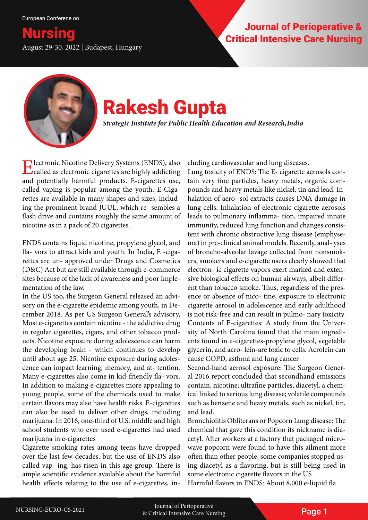**Critical Intensive Care Nursing**<br>August 29-30, 2022 | Budapest, Hungary

# Nursing Journal of Perioperative &



## Rakesh Gupta

*Strategic Institute for Public Health Education and Research, India*

**Electronic Nicotine Delivery Systems (ENDS), also** called as electronic cigarettes are highly addicting and potentially harmful products. E-cigarettes use, called vaping is popular among the youth. E-Cigarettes are available in many shapes and sizes, including the prominent brand JUUL, which re- sembles a flash drive and contains roughly the same amount of nicotine as in a pack of 20 cigarettes.

ENDS contains liquid nicotine, propylene glycol, and fla- vors to attract kids and youth. In India, E -cigarettes are un- approved under Drugs and Cosmetics (D&C) Act but are still available through e-commerce sites because of the lack of awareness and poor implementation of the law.

In the US too, the Surgeon General released an advisory on the e-cigarette epidemic among youth, in December 2018. As per US Surgeon General's advisory, Most e-cigarettes contain nicotine - the addictive drug in regular cigarettes, cigars, and other tobacco products. Nicotine exposure during adolescence can harm the developing brain - which continues to develop until about age 25. Nicotine exposure during adolescence can impact learning, memory, and at- tention. Many e-cigarettes also come in kid-friendly fla- vors. In addition to making e-cigarettes more appealing to young people, some of the chemicals used to make certain flavors may also have health risks. E-cigarettes can also be used to deliver other drugs, including marijuana. In 2016, one-third of U.S. middle and high school students who ever used e-cigarettes had used marijuana in e-cigarettes

Cigarette smoking rates among teens have dropped over the last few decades, but the use of ENDS also called vap- ing, has risen in this age group. There is ample scientific evidence available about the harmful health effects relating to the use of e-cigarettes, including cardiovascular and lung diseases.

Lung toxicity of ENDS: The E- cigarette aerosols contain very fine particles, heavy metals, organic compounds and heavy metals like nickel, tin and lead. Inhalation of aero- sol extracts causes DNA damage in lung cells. Inhalation of electronic cigarette aerosols leads to pulmonary inflamma- tion, impaired innate immunity, reduced lung function and changes consistent with chronic obstructive lung disease (emphysema) in pre-clinical animal models. Recently, anal- yses of broncho-alveolar lavage collected from nonsmokers, smokers and e-cigarette users clearly showed that electron- ic cigarette vapors exert marked and extensive biological effects on human airways, albeit different than tobacco smoke. Thus, regardless of the presence or absence of nico- tine, exposure to electronic cigarette aerosol in adolescence and early adulthood is not risk-free and can result in pulmo- nary toxicity Contents of E-cigarettes: A study from the University of North Carolina found that the main ingredients found in e-cigarettes-propylene glycol, vegetable glycerin, and acro- lein-are toxic to cells. Acrolein can cause COPD, asthma and lung cancer

Second-hand aerosol exposure: The Surgeon General 2016 report concluded that secondhand emissions contain, nicotine; ultrafine particles, diacetyl, a chemical linked to serious lung disease; volatile compounds such as benzene and heavy metals, such as nickel, tin, and lead.

Bronchiolitis Obliterans or Popcorn Lung disease: The chemical that gave this condition its nickname is diacetyl. After workers at a factory that packaged microwave popcorn were found to have this ailment more often than other people, some companies stopped using diacetyl as a flavoring, but is still being used in some electronic cigarette flavors in the US

Harmful flavors in ENDS: About 8,000 e-liquid fla